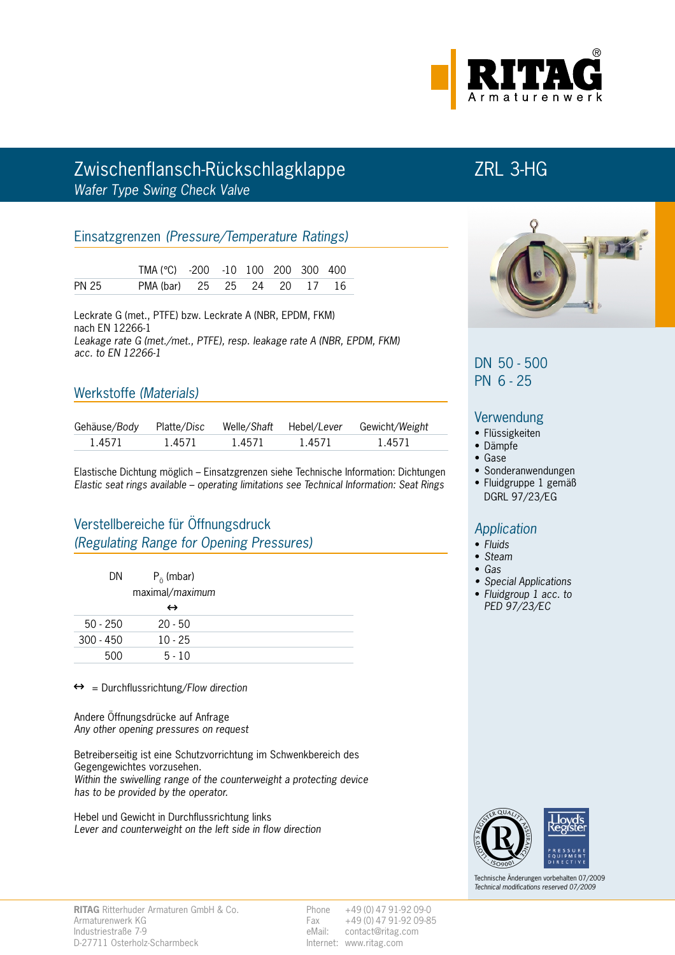

# Zwischenflansch-Rückschlagklappe ZRL 3-HG Wafer Type Swing Check Valve

# Einsatzgrenzen (Pressure/Temperature Ratings)

|       | TMA(°C) -200 -10 100 200 300 400 |  |  |  |
|-------|----------------------------------|--|--|--|
| PN 25 | PMA (bar) 25 25 24 20 17 16      |  |  |  |

Leckrate G (met., PTFE) bzw. Leckrate A (NBR, EPDM, FKM) nach EN 12266-1 Leakage rate G (met./met., PTFE), resp. leakage rate A (NBR, EPDM, FKM) acc. to EN 12266-1

# Werkstoffe (Materials)

| Gehäuse/Body | Platte/Disc |        | Welle/Shaft Hebel/Lever | Gewicht/Weight |
|--------------|-------------|--------|-------------------------|----------------|
| 1.4571       | 1.4571      | 1.4571 | 1.4571                  | 1.4571         |

Elastische Dichtung möglich – Einsatzgrenzen siehe Technische Information: Dichtungen Elastic seat rings available – operating limitations see Technical Information: Seat Rings

# Verstellbereiche für Öffnungsdruck (Regulating Range for Opening Pressures)

| DN          | $P_{\hat{0}}$ (mbar) |  |
|-------------|----------------------|--|
|             | maximal/maximum      |  |
|             | $\leftrightarrow$    |  |
| $50 - 250$  | $20 - 50$            |  |
| $300 - 450$ | $10 - 25$            |  |
| 500         | $5 - 10$             |  |

 $\leftrightarrow$  = Durchflussrichtung/Flow direction

Andere Öffnungsdrücke auf Anfrage Any other opening pressures on request

Betreiberseitig ist eine Schutzvorrichtung im Schwenkbereich des Gegengewichtes vorzusehen. Within the swivelling range of the counterweight a protecting device has to be provided by the operator.

Hebel und Gewicht in Durchflussrichtung links Lever and counterweight on the left side in flow direction



# DN 50 - 500 PN 6 - 25

#### Verwendung

- Flüssigkeiten
- Dämpfe
- Gase
- Sonderanwendungen
- Fluidgruppe 1 gemäß DGRL 97/23/EG

# Application

- Fluids
- Steam
- Gas
- Special Applications
- Fluidgroup 1 acc. to PED 97/23/EC



Technische Änderungen vorbehalten 07/2009 Technical modifications reserved 07/2009

Phone +49 (0) 47 91-92 09-0 Fax +49 (0) 47 91-92 09-85 eMail: contact@ritag.com Internet: www.ritag.com